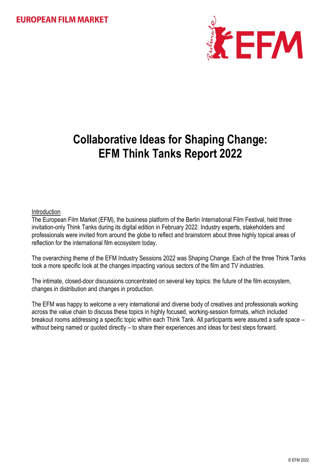

# **Collaborative Ideas for Shaping Change: EFM Think Tanks Report 2022**

# Introduction

The European Film Market (EFM), the business platform of the Berlin International Film Festival, held three invitation-only Think Tanks during its digital edition in February 2022. Industry experts, stakeholders and professionals were invited from around the globe to reflect and brainstorm about three highly topical areas of reflection for the international film ecosystem today.

The overarching theme of the EFM Industry Sessions 2022 was Shaping Change. Each of the three Think Tanks took a more specific look at the changes impacting various sectors of the film and TV industries.

The intimate, closed-door discussions concentrated on several key topics: the future of the film ecosystem, changes in distribution and changes in production.

The EFM was happy to welcome a very international and diverse body of creatives and professionals working across the value chain to discuss these topics in highly focused, working-session formats, which included breakout rooms addressing a specific topic within each Think Tank. All participants were assured a safe space – without being named or quoted directly – to share their experiences and ideas for best steps forward.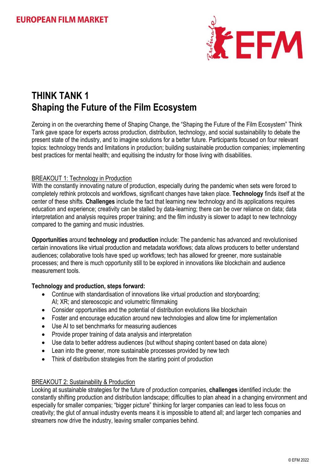

# **THINK TANK 1 Shaping the Future of the Film Ecosystem**

Zeroing in on the overarching theme of Shaping Change, the "Shaping the Future of the Film Ecosystem" Think Tank gave space for experts across production, distribution, technology, and social sustainability to debate the present state of the industry, and to imagine solutions for a better future. Participants focused on four relevant topics: technology trends and limitations in production; building sustainable production companies; implementing best practices for mental health; and equitising the industry for those living with disabilities.

# BREAKOUT 1: Technology in Production

With the constantly innovating nature of production, especially during the pandemic when sets were forced to completely rethink protocols and workflows, significant changes have taken place. **Technology** finds itself at the center of these shifts. **Challenges** include the fact that learning new technology and its applications requires education and experience; creativity can be stalled by data-learning; there can be over reliance on data; data interpretation and analysis requires proper training; and the film industry is slower to adapt to new technology compared to the gaming and music industries.

**Opportunities** around **technology** and **production** include: The pandemic has advanced and revolutionised certain innovations like virtual production and metadata workflows; data allows producers to better understand audiences; collaborative tools have sped up workflows; tech has allowed for greener, more sustainable processes; and there is much opportunity still to be explored in innovations like blockchain and audience measurement tools.

# **Technology and production, steps forward:**

- Continue with standardisation of innovations like virtual production and storyboarding; AI; XR; and stereoscopic and volumetric filmmaking
- Consider opportunities and the potential of distribution evolutions like blockchain
- Foster and encourage education around new technologies and allow time for implementation
- Use AI to set benchmarks for measuring audiences
- Provide proper training of data analysis and interpretation
- Use data to better address audiences (but without shaping content based on data alone)
- Lean into the greener, more sustainable processes provided by new tech
- Think of distribution strategies from the starting point of production

### BREAKOUT 2: Sustainability & Production

Looking at sustainable strategies for the future of production companies, **challenges** identified include: the constantly shifting production and distribution landscape; difficulties to plan ahead in a changing environment and especially for smaller companies; "bigger picture" thinking for larger companies can lead to less focus on creativity; the glut of annual industry events means it is impossible to attend all; and larger tech companies and streamers now drive the industry, leaving smaller companies behind.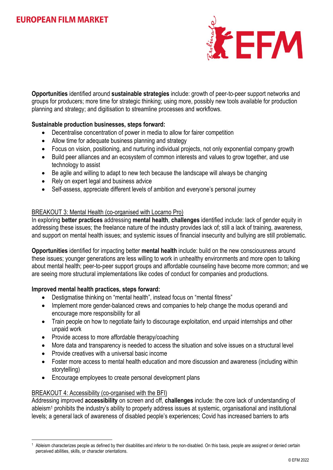

**Opportunities** identified around **sustainable strategies** include: growth of peer-to-peer support networks and groups for producers; more time for strategic thinking; using more, possibly new tools available for production planning and strategy; and digitisation to streamline processes and workflows.

# **Sustainable production businesses, steps forward:**

- Decentralise concentration of power in media to allow for fairer competition
- Allow time for adequate business planning and strategy
- Focus on vision, positioning, and nurturing individual projects, not only exponential company growth
- Build peer alliances and an ecosystem of common interests and values to grow together, and use technology to assist
- Be agile and willing to adapt to new tech because the landscape will always be changing
- Rely on expert legal and business advice
- Self-assess, appreciate different levels of ambition and everyone's personal journey

### BREAKOUT 3: Mental Health (co-organised with Locarno Pro)

In exploring **better practices** addressing **mental health**, **challenges** identified include: lack of gender equity in addressing these issues; the freelance nature of the industry provides lack of; still a lack of training, awareness, and support on mental health issues; and systemic issues of financial insecurity and bullying are still problematic.

**Opportunities** identified for impacting better **mental health** include: build on the new consciousness around these issues; younger generations are less willing to work in unhealthy environments and more open to talking about mental health; peer-to-peer support groups and affordable counseling have become more common; and we are seeing more structural implementations like codes of conduct for companies and productions.

### **Improved mental health practices, steps forward:**

- Destigmatise thinking on "mental health", instead focus on "mental fitness"
- Implement more gender-balanced crews and companies to help change the modus operandi and encourage more responsibility for all
- Train people on how to negotiate fairly to discourage exploitation, end unpaid internships and other unpaid work
- Provide access to more affordable therapy/coaching
- More data and transparency is needed to access the situation and solve issues on a structural level
- Provide creatives with a universal basic income
- Foster more access to mental health education and more discussion and awareness (including within storytelling)
- Encourage employees to create personal development plans

### BREAKOUT 4: Accessibility (co-organised with the BFI)

1

Addressing improved **accessibility** on screen and off, **challenges** include: the core lack of understanding of ableism<sup>1</sup> prohibits the industry's ability to properly address issues at systemic, organisational and institutional levels; a general lack of awareness of disabled people's experiences; Covid has increased barriers to arts

Ableism characterizes people as defined by their disabilities and inferior to the non-disabled. On this basis, people are assigned or denied certain perceived abilities, skills, or character orientations.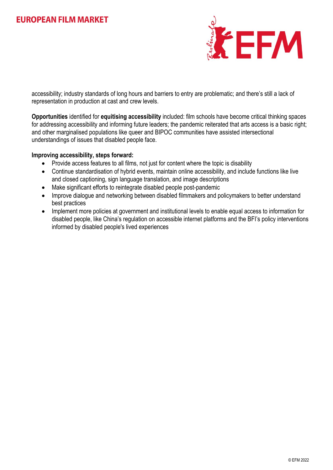

accessibility; industry standards of long hours and barriers to entry are problematic; and there's still a lack of representation in production at cast and crew levels.

**Opportunities** identified for **equitising accessibility** included: film schools have become critical thinking spaces for addressing accessibility and informing future leaders; the pandemic reiterated that arts access is a basic right; and other marginalised populations like queer and BIPOC communities have assisted intersectional understandings of issues that disabled people face.

### **Improving accessibility, steps forward:**

- Provide access features to all films, not just for content where the topic is disability
- Continue standardisation of hybrid events, maintain online accessibility, and include functions like live and closed captioning, sign language translation, and image descriptions
- Make significant efforts to reintegrate disabled people post-pandemic
- Improve dialogue and networking between disabled filmmakers and policymakers to better understand best practices
- Implement more policies at government and institutional levels to enable equal access to information for disabled people, like China's regulation on accessible internet platforms and the BFI's policy interventions informed by disabled people's lived experiences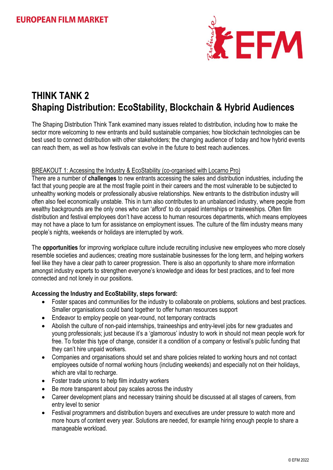

# **THINK TANK 2 Shaping Distribution: EcoStability, Blockchain & Hybrid Audiences**

The Shaping Distribution Think Tank examined many issues related to distribution, including how to make the sector more welcoming to new entrants and build sustainable companies; how blockchain technologies can be best used to connect distribution with other stakeholders; the changing audience of today and how hybrid events can reach them, as well as how festivals can evolve in the future to best reach audiences.

# BREAKOUT 1: Accessing the Industry & EcoStability (co-organised with Locarno Pro)

There are a number of **challenges** to new entrants accessing the sales and distribution industries, including the fact that young people are at the most fragile point in their careers and the most vulnerable to be subjected to unhealthy working models or professionally abusive relationships. New entrants to the distribution industry will often also feel economically unstable. This in turn also contributes to an unbalanced industry, where people from wealthy backgrounds are the only ones who can 'afford' to do unpaid internships or traineeships. Often film distribution and festival employees don't have access to human resources departments, which means employees may not have a place to turn for assistance on employment issues. The culture of the film industry means many people's nights, weekends or holidays are interrupted by work.

The **opportunities** for improving workplace culture include recruiting inclusive new employees who more closely resemble societies and audiences; creating more sustainable businesses for the long term, and helping workers feel like they have a clear path to career progression. There is also an opportunity to share more information amongst industry experts to strengthen everyone's knowledge and ideas for best practices, and to feel more connected and not lonely in our positions.

# **Accessing the Industry and EcoStability, steps forward:**

- Foster spaces and communities for the industry to collaborate on problems, solutions and best practices. Smaller organisations could band together to offer human resources support
- Endeavor to employ people on year-round, not temporary contracts
- Abolish the culture of non-paid internships, traineeships and entry-level jobs for new graduates and young professionals; just because it's a 'glamorous' industry to work in should not mean people work for free. To foster this type of change, consider it a condition of a company or festival's public funding that they can't hire unpaid workers.
- Companies and organisations should set and share policies related to working hours and not contact employees outside of normal working hours (including weekends) and especially not on their holidays, which are vital to recharge.
- Foster trade unions to help film industry workers
- Be more transparent about pay scales across the industry
- Career development plans and necessary training should be discussed at all stages of careers, from entry level to senior
- Festival programmers and distribution buyers and executives are under pressure to watch more and more hours of content every year. Solutions are needed, for example hiring enough people to share a manageable workload.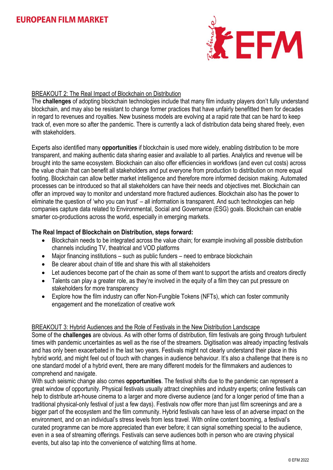

# BREAKOUT 2: The Real Impact of Blockchain on Distribution

The **challenges** of adopting blockchain technologies include that many film industry players don't fully understand blockchain, and may also be resistant to change former practices that have unfairly benefitted them for decades in regard to revenues and royalties. New business models are evolving at a rapid rate that can be hard to keep track of, even more so after the pandemic. There is currently a lack of distribution data being shared freely, even with stakeholders

Experts also identified many **opportunities** if blockchain is used more widely, enabling distribution to be more transparent, and making authentic data sharing easier and available to all parties. Analytics and revenue will be brought into the same ecosystem. Blockchain can also offer efficiencies in workflows (and even cut costs) across the value chain that can benefit all stakeholders and put everyone from production to distribution on more equal footing. Blockchain can allow better market intelligence and therefore more informed decision making. Automated processes can be introduced so that all stakeholders can have their needs and objectives met. Blockchain can offer an improved way to monitor and understand more fractured audiences. Blockchain also has the power to eliminate the question of 'who you can trust' – all information is transparent. And such technologies can help companies capture data related to Environmental, Social and Governance (ESG) goals. Blockchain can enable smarter co-productions across the world, especially in emerging markets.

## **The Real Impact of Blockchain on Distribution, steps forward:**

- Blockchain needs to be integrated across the value chain; for example involving all possible distribution channels including TV, theatrical and VOD platforms
- Major financing institutions such as public funders need to embrace blockchain
- Be clearer about chain of title and share this with all stakeholders
- Let audiences become part of the chain as some of them want to support the artists and creators directly
- Talents can play a greater role, as they're involved in the equity of a film they can put pressure on stakeholders for more transparency
- Explore how the film industry can offer Non-Fungible Tokens (NFTs), which can foster community engagement and the monetization of creative work

### BREAKOUT 3: Hybrid Audiences and the Role of Festivals in the New Distribution Landscape

Some of the **challenges** are obvious. As with other forms of distribution, film festivals are going through turbulent times with pandemic uncertainties as well as the rise of the streamers. Digitisation was already impacting festivals and has only been exacerbated in the last two years. Festivals might not clearly understand their place in this hybrid world, and might feel out of touch with changes in audience behaviour. It's also a challenge that there is no one standard model of a hybrid event, there are many different models for the filmmakers and audiences to comprehend and navigate.

With such seismic change also comes **opportunities**. The festival shifts due to the pandemic can represent a great window of opportunity. Physical festivals usually attract cinephiles and industry experts; online festivals can help to distribute art-house cinema to a larger and more diverse audience (and for a longer period of time than a traditional physical-only festival of just a few days). Festivals now offer more than just film screenings and are a bigger part of the ecosystem and the film community. Hybrid festivals can have less of an adverse impact on the environment, and on an individual's stress levels from less travel. With online content booming, a festival's curated programme can be more appreciated than ever before; it can signal something special to the audience, even in a sea of streaming offerings. Festivals can serve audiences both in person who are craving physical events, but also tap into the convenience of watching films at home.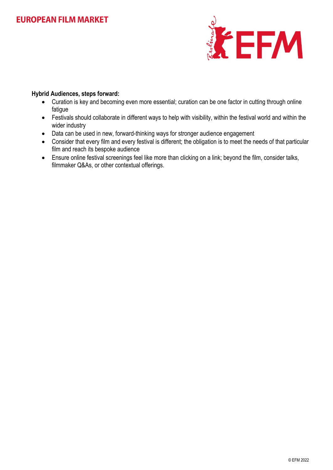

# **Hybrid Audiences, steps forward:**

- Curation is key and becoming even more essential; curation can be one factor in cutting through online fatigue
- Festivals should collaborate in different ways to help with visibility, within the festival world and within the wider industry
- Data can be used in new, forward-thinking ways for stronger audience engagement
- Consider that every film and every festival is different; the obligation is to meet the needs of that particular film and reach its bespoke audience
- Ensure online festival screenings feel like more than clicking on a link; beyond the film, consider talks, filmmaker Q&As, or other contextual offerings.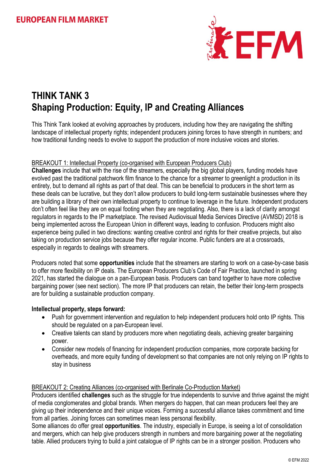

# **THINK TANK 3 Shaping Production: Equity, IP and Creating Alliances**

This Think Tank looked at evolving approaches by producers, including how they are navigating the shifting landscape of intellectual property rights; independent producers joining forces to have strength in numbers; and how traditional funding needs to evolve to support the production of more inclusive voices and stories.

# BREAKOUT 1: Intellectual Property (co-organised with European Producers Club)

**Challenges** include that with the rise of the streamers, especially the big global players, funding models have evolved past the traditional patchwork film finance to the chance for a streamer to greenlight a production in its entirety, but to demand all rights as part of that deal. This can be beneficial to producers in the short term as these deals can be lucrative, but they don't allow producers to build long-term sustainable businesses where they are building a library of their own intellectual property to continue to leverage in the future. Independent producers don't often feel like they are on equal footing when they are negotiating. Also, there is a lack of clarity amongst regulators in regards to the IP marketplace. The revised Audiovisual Media Services Directive (AVMSD) 2018 is being implemented across the European Union in different ways, leading to confusion. Producers might also experience being pulled in two directions: wanting creative control and rights for their creative projects, but also taking on production service jobs because they offer regular income. Public funders are at a crossroads, especially in regards to dealings with streamers.

Producers noted that some **opportunities** include that the streamers are starting to work on a case-by-case basis to offer more flexibility on IP deals. The European Producers Club's Code of Fair Practice, launched in spring 2021, has started the dialogue on a pan-European basis. Producers can band together to have more collective bargaining power (see next section). The more IP that producers can retain, the better their long-term prospects are for building a sustainable production company.

### **Intellectual property, steps forward:**

- Push for government intervention and regulation to help independent producers hold onto IP rights. This should be regulated on a pan-European level.
- Creative talents can stand by producers more when negotiating deals, achieving greater bargaining power.
- Consider new models of financing for independent production companies, more corporate backing for overheads, and more equity funding of development so that companies are not only relying on IP rights to stay in business

### BREAKOUT 2: Creating Alliances (co-organised with Berlinale Co-Production Market)

Producers identified **challenges** such as the struggle for true independents to survive and thrive against the might of media conglomerates and global brands. When mergers do happen, that can mean producers feel they are giving up their independence and their unique voices. Forming a successful alliance takes commitment and time from all parties. Joining forces can sometimes mean less personal flexibility.

Some alliances do offer great **opportunities**. The industry, especially in Europe, is seeing a lot of consolidation and mergers, which can help give producers strength in numbers and more bargaining power at the negotiating table. Allied producers trying to build a joint catalogue of IP rights can be in a stronger position. Producers who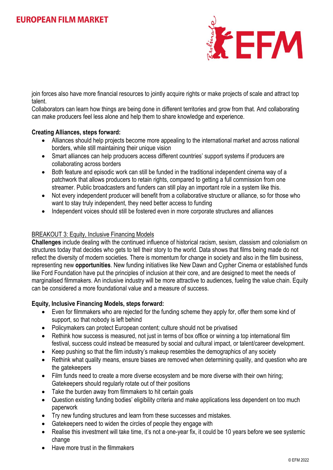

join forces also have more financial resources to jointly acquire rights or make projects of scale and attract top talent.

Collaborators can learn how things are being done in different territories and grow from that. And collaborating can make producers feel less alone and help them to share knowledge and experience.

# **Creating Alliances, steps forward:**

- Alliances should help projects become more appealing to the international market and across national borders, while still maintaining their unique vision
- Smart alliances can help producers access different countries' support systems if producers are collaborating across borders
- Both feature and episodic work can still be funded in the traditional independent cinema way of a patchwork that allows producers to retain rights, compared to getting a full commission from one streamer. Public broadcasters and funders can still play an important role in a system like this.
- Not every independent producer will benefit from a collaborative structure or alliance, so for those who want to stay truly independent, they need better access to funding
- Independent voices should still be fostered even in more corporate structures and alliances

# BREAKOUT 3: Equity, Inclusive Financing Models

**Challenges** include dealing with the continued influence of historical racism, sexism, classism and colonialism on structures today that decides who gets to tell their story to the world. Data shows that films being made do not reflect the diversity of modern societies. There is momentum for change in society and also in the film business, representing new **opportunities**. New funding initiatives like New Dawn and Cypher Cinema or established funds like Ford Foundation have put the principles of inclusion at their core, and are designed to meet the needs of marginalised filmmakers. An inclusive industry will be more attractive to audiences, fueling the value chain. Equity can be considered a more foundational value and a measure of success.

### **Equity, Inclusive Financing Models, steps forward:**

- Even for filmmakers who are rejected for the funding scheme they apply for, offer them some kind of support, so that nobody is left behind
- Policymakers can protect European content; culture should not be privatised
- Rethink how success is measured, not just in terms of box office or winning a top international film festival, success could instead be measured by social and cultural impact, or talent/career development.
- Keep pushing so that the film industry's makeup resembles the demographics of any society
- Rethink what quality means, ensure biases are removed when determining quality, and question who are the gatekeepers
- Film funds need to create a more diverse ecosystem and be more diverse with their own hiring; Gatekeepers should regularly rotate out of their positions
- Take the burden away from filmmakers to hit certain goals
- Question existing funding bodies' eligibility criteria and make applications less dependent on too much paperwork
- Try new funding structures and learn from these successes and mistakes.
- Gatekeepers need to widen the circles of people they engage with
- Realise this investment will take time, it's not a one-year fix, it could be 10 years before we see systemic change
- Have more trust in the filmmakers